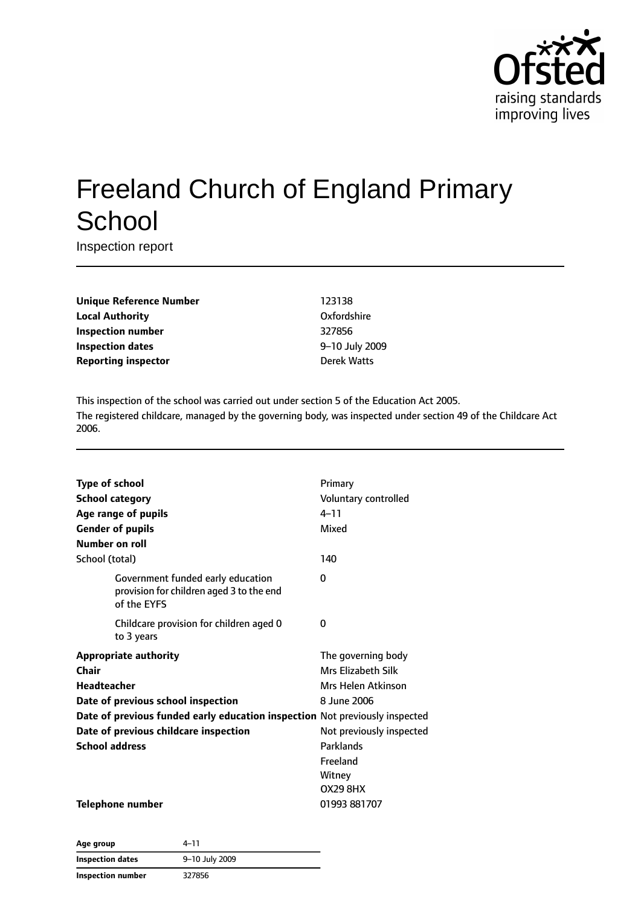

# Freeland Church of England Primary **School**

Inspection report

**Unique Reference Number** 123138 **Local Authority** Oxfordshire **Inspection number** 327856 **Inspection dates** 9–10 July 2009 **Reporting inspector Contracts Exercise 2** Derek Watts

This inspection of the school was carried out under section 5 of the Education Act 2005. The registered childcare, managed by the governing body, was inspected under section 49 of the Childcare Act 2006.

| <b>Type of school</b><br><b>School category</b><br>Age range of pupils<br><b>Gender of pupils</b><br>Number on roll                                                                                                                                | Primary<br>Voluntary controlled<br>$4 - 11$<br>Mixed                                                                                             |
|----------------------------------------------------------------------------------------------------------------------------------------------------------------------------------------------------------------------------------------------------|--------------------------------------------------------------------------------------------------------------------------------------------------|
| School (total)                                                                                                                                                                                                                                     | 140                                                                                                                                              |
| Government funded early education<br>provision for children aged 3 to the end<br>of the EYFS                                                                                                                                                       | 0                                                                                                                                                |
| Childcare provision for children aged 0<br>to 3 years                                                                                                                                                                                              | 0                                                                                                                                                |
| <b>Appropriate authority</b><br>Chair<br><b>Headteacher</b><br>Date of previous school inspection<br>Date of previous funded early education inspection Not previously inspected<br>Date of previous childcare inspection<br><b>School address</b> | The governing body<br><b>Mrs Elizabeth Silk</b><br>Mrs Helen Atkinson<br>8 June 2006<br>Not previously inspected<br>Parklands<br><b>Freeland</b> |
| <b>Telephone number</b>                                                                                                                                                                                                                            | Witney<br><b>OX29 8HX</b><br>01993 881707                                                                                                        |

| Age group                | 4–11           |
|--------------------------|----------------|
| <b>Inspection dates</b>  | 9-10 July 2009 |
| <b>Inspection number</b> | 327856         |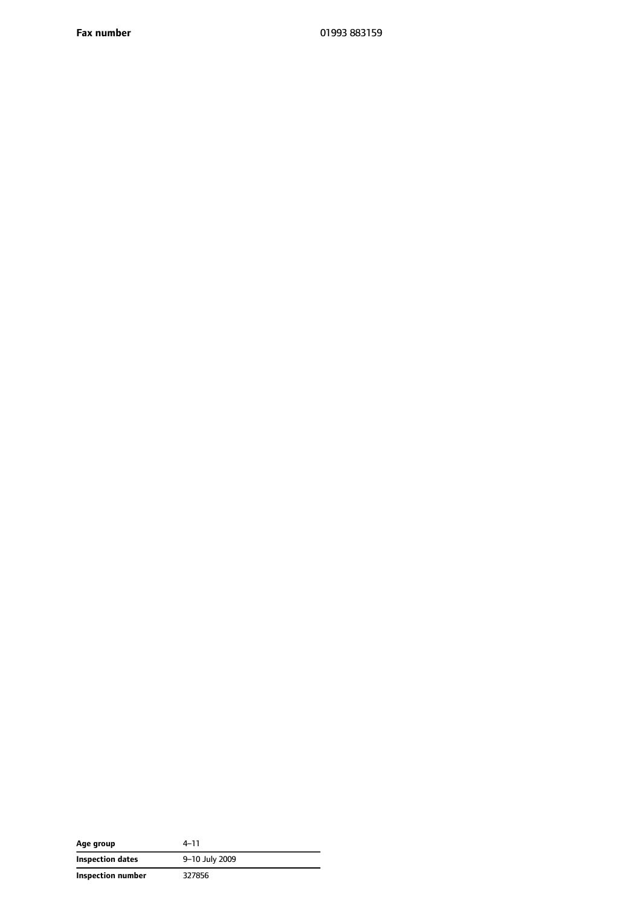| Age group         | $4 - 11$       |
|-------------------|----------------|
| Inspection dates  | 9-10 July 2009 |
| Inspection number | 327856         |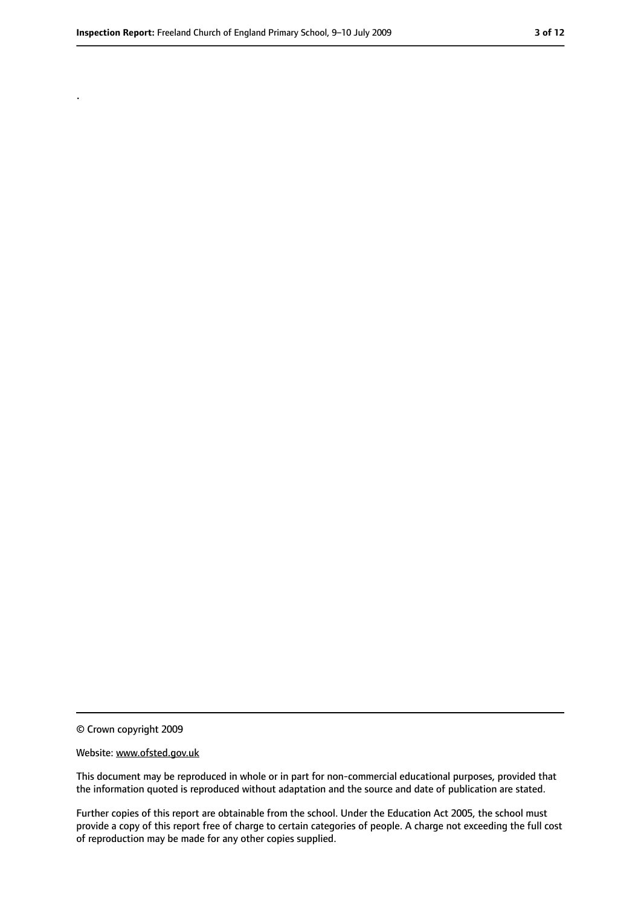.

<sup>©</sup> Crown copyright 2009

Website: www.ofsted.gov.uk

This document may be reproduced in whole or in part for non-commercial educational purposes, provided that the information quoted is reproduced without adaptation and the source and date of publication are stated.

Further copies of this report are obtainable from the school. Under the Education Act 2005, the school must provide a copy of this report free of charge to certain categories of people. A charge not exceeding the full cost of reproduction may be made for any other copies supplied.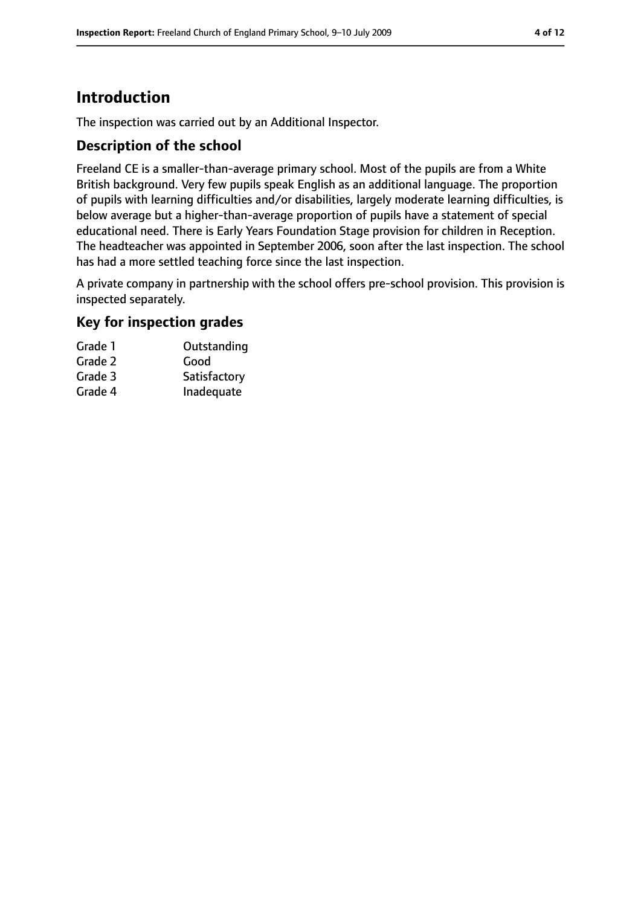# **Introduction**

The inspection was carried out by an Additional Inspector.

### **Description of the school**

Freeland CE is a smaller-than-average primary school. Most of the pupils are from a White British background. Very few pupils speak English as an additional language. The proportion of pupils with learning difficulties and/or disabilities, largely moderate learning difficulties, is below average but a higher-than-average proportion of pupils have a statement of special educational need. There is Early Years Foundation Stage provision for children in Reception. The headteacher was appointed in September 2006, soon after the last inspection. The school has had a more settled teaching force since the last inspection.

A private company in partnership with the school offers pre-school provision. This provision is inspected separately.

# **Key for inspection grades**

| Outstanding  |
|--------------|
| Good         |
| Satisfactory |
| Inadequate   |
|              |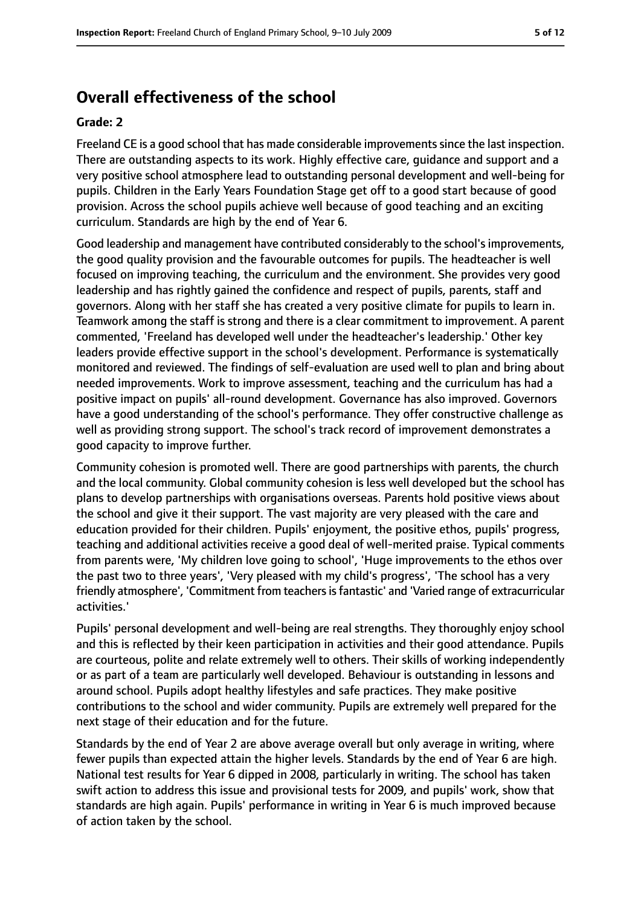# **Overall effectiveness of the school**

#### **Grade: 2**

Freeland CE is a good school that has made considerable improvementssince the last inspection. There are outstanding aspects to its work. Highly effective care, guidance and support and a very positive school atmosphere lead to outstanding personal development and well-being for pupils. Children in the Early Years Foundation Stage get off to a good start because of good provision. Across the school pupils achieve well because of good teaching and an exciting curriculum. Standards are high by the end of Year 6.

Good leadership and management have contributed considerably to the school'simprovements, the good quality provision and the favourable outcomes for pupils. The headteacher is well focused on improving teaching, the curriculum and the environment. She provides very good leadership and has rightly gained the confidence and respect of pupils, parents, staff and governors. Along with her staff she has created a very positive climate for pupils to learn in. Teamwork among the staff is strong and there is a clear commitment to improvement. A parent commented, 'Freeland has developed well under the headteacher's leadership.' Other key leaders provide effective support in the school's development. Performance is systematically monitored and reviewed. The findings of self-evaluation are used well to plan and bring about needed improvements. Work to improve assessment, teaching and the curriculum has had a positive impact on pupils' all-round development. Governance has also improved. Governors have a good understanding of the school's performance. They offer constructive challenge as well as providing strong support. The school's track record of improvement demonstrates a good capacity to improve further.

Community cohesion is promoted well. There are good partnerships with parents, the church and the local community. Global community cohesion is less well developed but the school has plans to develop partnerships with organisations overseas. Parents hold positive views about the school and give it their support. The vast majority are very pleased with the care and education provided for their children. Pupils' enjoyment, the positive ethos, pupils' progress, teaching and additional activities receive a good deal of well-merited praise. Typical comments from parents were, 'My children love going to school', 'Huge improvements to the ethos over the past two to three years', 'Very pleased with my child's progress', 'The school has a very friendly atmosphere', 'Commitment from teachers is fantastic' and 'Varied range of extracurricular activities.'

Pupils' personal development and well-being are real strengths. They thoroughly enjoy school and this is reflected by their keen participation in activities and their good attendance. Pupils are courteous, polite and relate extremely well to others. Their skills of working independently or as part of a team are particularly well developed. Behaviour is outstanding in lessons and around school. Pupils adopt healthy lifestyles and safe practices. They make positive contributions to the school and wider community. Pupils are extremely well prepared for the next stage of their education and for the future.

Standards by the end of Year 2 are above average overall but only average in writing, where fewer pupils than expected attain the higher levels. Standards by the end of Year 6 are high. National test results for Year 6 dipped in 2008, particularly in writing. The school has taken swift action to address this issue and provisional tests for 2009, and pupils' work, show that standards are high again. Pupils' performance in writing in Year 6 is much improved because of action taken by the school.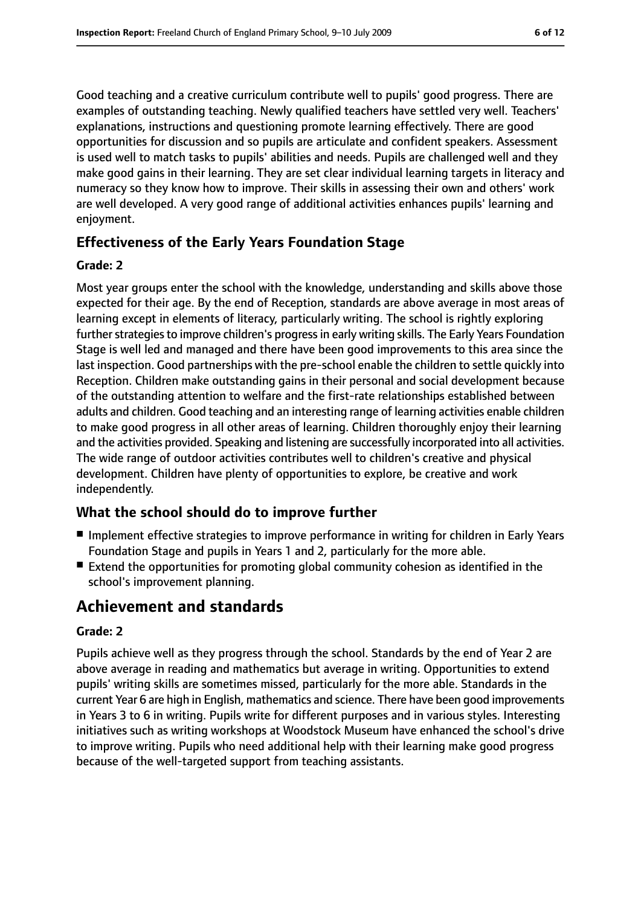Good teaching and a creative curriculum contribute well to pupils' good progress. There are examples of outstanding teaching. Newly qualified teachers have settled very well. Teachers' explanations, instructions and questioning promote learning effectively. There are good opportunities for discussion and so pupils are articulate and confident speakers. Assessment is used well to match tasks to pupils' abilities and needs. Pupils are challenged well and they make good gains in their learning. They are set clear individual learning targets in literacy and numeracy so they know how to improve. Their skills in assessing their own and others' work are well developed. A very good range of additional activities enhances pupils' learning and enjoyment.

### **Effectiveness of the Early Years Foundation Stage**

#### **Grade: 2**

Most year groups enter the school with the knowledge, understanding and skills above those expected for their age. By the end of Reception, standards are above average in most areas of learning except in elements of literacy, particularly writing. The school is rightly exploring further strategies to improve children's progress in early writing skills. The Early Years Foundation Stage is well led and managed and there have been good improvements to this area since the last inspection. Good partnerships with the pre-school enable the children to settle quickly into Reception. Children make outstanding gains in their personal and social development because of the outstanding attention to welfare and the first-rate relationships established between adults and children. Good teaching and an interesting range of learning activities enable children to make good progress in all other areas of learning. Children thoroughly enjoy their learning and the activities provided. Speaking and listening are successfully incorporated into all activities. The wide range of outdoor activities contributes well to children's creative and physical development. Children have plenty of opportunities to explore, be creative and work independently.

### **What the school should do to improve further**

- Implement effective strategies to improve performance in writing for children in Early Years Foundation Stage and pupils in Years 1 and 2, particularly for the more able.
- Extend the opportunities for promoting global community cohesion as identified in the school's improvement planning.

# **Achievement and standards**

#### **Grade: 2**

Pupils achieve well as they progress through the school. Standards by the end of Year 2 are above average in reading and mathematics but average in writing. Opportunities to extend pupils' writing skills are sometimes missed, particularly for the more able. Standards in the current Year 6 are high in English, mathematics and science. There have been good improvements in Years 3 to 6 in writing. Pupils write for different purposes and in various styles. Interesting initiatives such as writing workshops at Woodstock Museum have enhanced the school's drive to improve writing. Pupils who need additional help with their learning make good progress because of the well-targeted support from teaching assistants.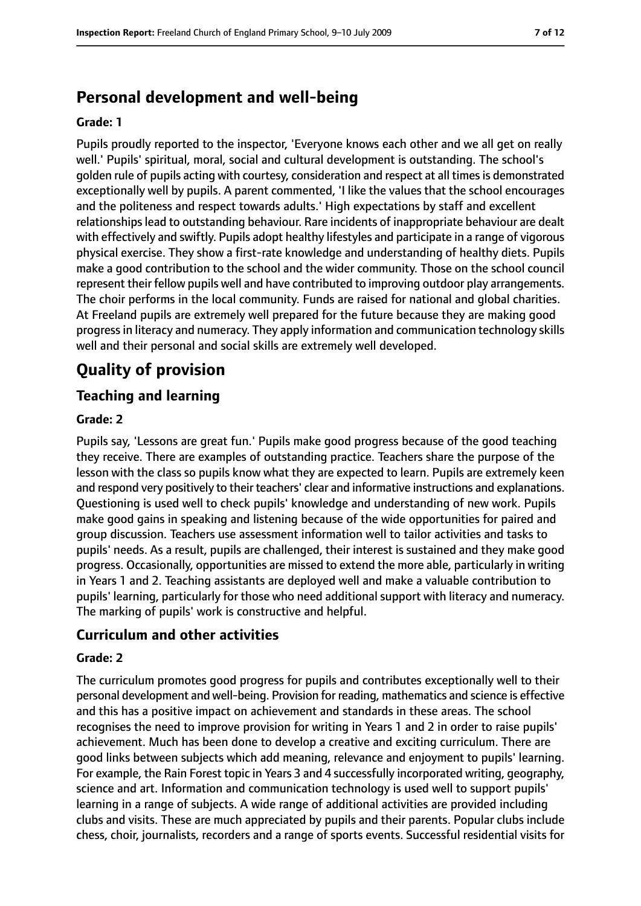# **Personal development and well-being**

#### **Grade: 1**

Pupils proudly reported to the inspector, 'Everyone knows each other and we all get on really well.' Pupils' spiritual, moral, social and cultural development is outstanding. The school's golden rule of pupils acting with courtesy, consideration and respect at all times is demonstrated exceptionally well by pupils. A parent commented, 'I like the values that the school encourages and the politeness and respect towards adults.' High expectations by staff and excellent relationships lead to outstanding behaviour. Rare incidents of inappropriate behaviour are dealt with effectively and swiftly. Pupils adopt healthy lifestyles and participate in a range of vigorous physical exercise. They show a first-rate knowledge and understanding of healthy diets. Pupils make a good contribution to the school and the wider community. Those on the school council represent their fellow pupils well and have contributed to improving outdoor play arrangements. The choir performs in the local community. Funds are raised for national and global charities. At Freeland pupils are extremely well prepared for the future because they are making good progressin literacy and numeracy. They apply information and communication technology skills well and their personal and social skills are extremely well developed.

# **Quality of provision**

### **Teaching and learning**

#### **Grade: 2**

Pupils say, 'Lessons are great fun.' Pupils make good progress because of the good teaching they receive. There are examples of outstanding practice. Teachers share the purpose of the lesson with the class so pupils know what they are expected to learn. Pupils are extremely keen and respond very positively to their teachers' clear and informative instructions and explanations. Questioning is used well to check pupils' knowledge and understanding of new work. Pupils make good gains in speaking and listening because of the wide opportunities for paired and group discussion. Teachers use assessment information well to tailor activities and tasks to pupils' needs. As a result, pupils are challenged, their interest is sustained and they make good progress. Occasionally, opportunities are missed to extend the more able, particularly in writing in Years 1 and 2. Teaching assistants are deployed well and make a valuable contribution to pupils' learning, particularly for those who need additional support with literacy and numeracy. The marking of pupils' work is constructive and helpful.

### **Curriculum and other activities**

#### **Grade: 2**

The curriculum promotes good progress for pupils and contributes exceptionally well to their personal development and well-being. Provision for reading, mathematics and science is effective and this has a positive impact on achievement and standards in these areas. The school recognises the need to improve provision for writing in Years 1 and 2 in order to raise pupils' achievement. Much has been done to develop a creative and exciting curriculum. There are good links between subjects which add meaning, relevance and enjoyment to pupils' learning. For example, the Rain Forest topic in Years 3 and 4 successfully incorporated writing, geography, science and art. Information and communication technology is used well to support pupils' learning in a range of subjects. A wide range of additional activities are provided including clubs and visits. These are much appreciated by pupils and their parents. Popular clubs include chess, choir, journalists, recorders and a range of sports events. Successful residential visits for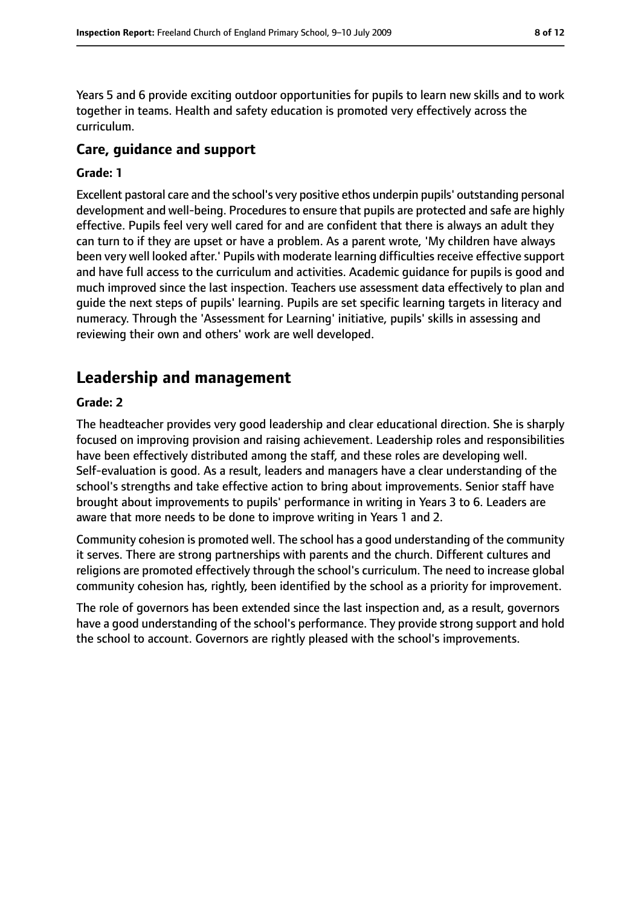Years 5 and 6 provide exciting outdoor opportunities for pupils to learn new skills and to work together in teams. Health and safety education is promoted very effectively across the curriculum.

### **Care, guidance and support**

#### **Grade: 1**

Excellent pastoral care and the school's very positive ethos underpin pupils' outstanding personal development and well-being. Procedures to ensure that pupils are protected and safe are highly effective. Pupils feel very well cared for and are confident that there is always an adult they can turn to if they are upset or have a problem. As a parent wrote, 'My children have always been very well looked after.' Pupils with moderate learning difficulties receive effective support and have full access to the curriculum and activities. Academic guidance for pupils is good and much improved since the last inspection. Teachers use assessment data effectively to plan and guide the next steps of pupils' learning. Pupils are set specific learning targets in literacy and numeracy. Through the 'Assessment for Learning' initiative, pupils' skills in assessing and reviewing their own and others' work are well developed.

# **Leadership and management**

#### **Grade: 2**

The headteacher provides very good leadership and clear educational direction. She is sharply focused on improving provision and raising achievement. Leadership roles and responsibilities have been effectively distributed among the staff, and these roles are developing well. Self-evaluation is good. As a result, leaders and managers have a clear understanding of the school's strengths and take effective action to bring about improvements. Senior staff have brought about improvements to pupils' performance in writing in Years 3 to 6. Leaders are aware that more needs to be done to improve writing in Years 1 and 2.

Community cohesion is promoted well. The school has a good understanding of the community it serves. There are strong partnerships with parents and the church. Different cultures and religions are promoted effectively through the school's curriculum. The need to increase global community cohesion has, rightly, been identified by the school as a priority for improvement.

The role of governors has been extended since the last inspection and, as a result, governors have a good understanding of the school's performance. They provide strong support and hold the school to account. Governors are rightly pleased with the school's improvements.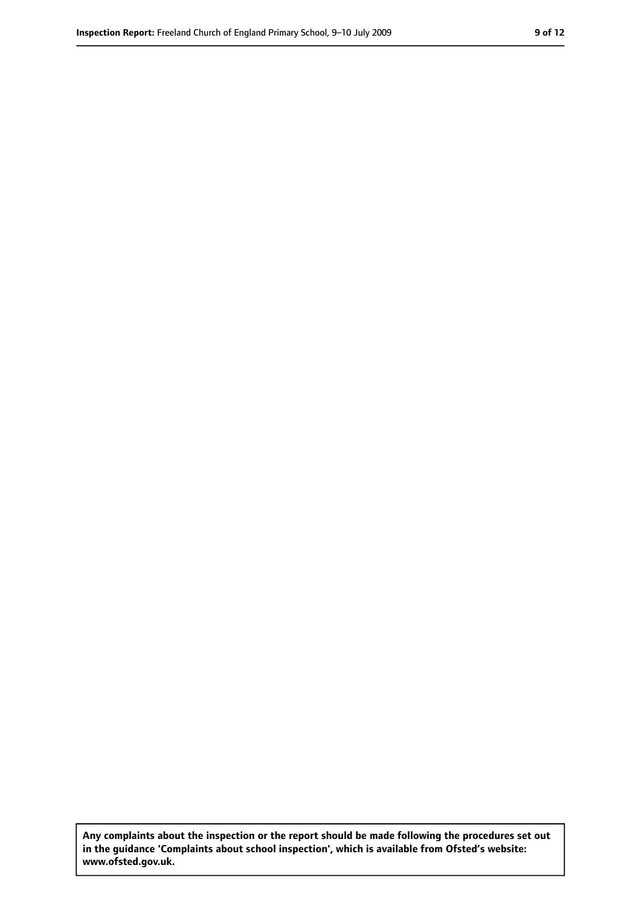**Any complaints about the inspection or the report should be made following the procedures set out in the guidance 'Complaints about school inspection', which is available from Ofsted's website: www.ofsted.gov.uk.**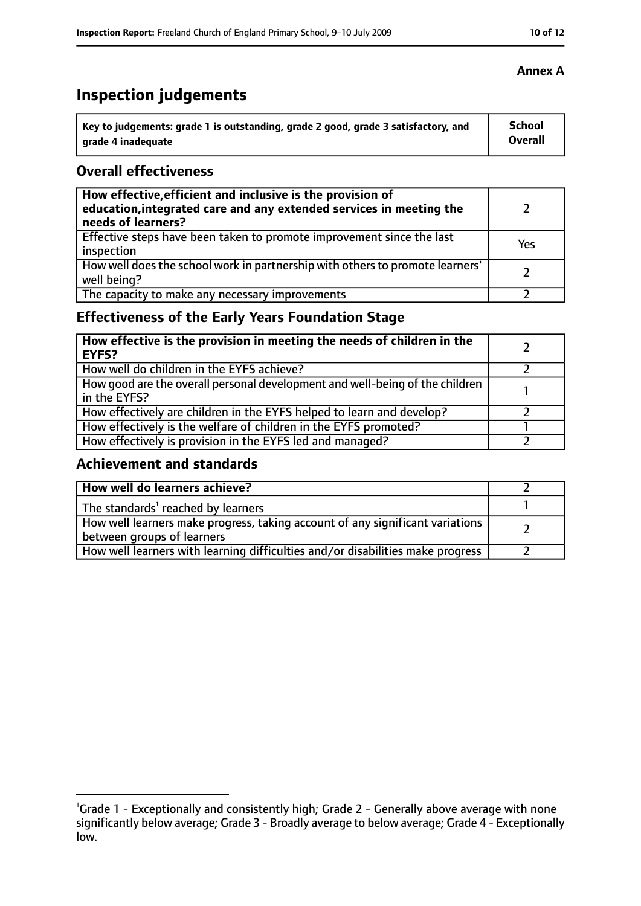# **Inspection judgements**

| Key to judgements: grade 1 is outstanding, grade 2 good, grade 3 satisfactory, and | <b>School</b>  |
|------------------------------------------------------------------------------------|----------------|
| arade 4 inadequate                                                                 | <b>Overall</b> |

### **Overall effectiveness**

| How effective, efficient and inclusive is the provision of<br>education, integrated care and any extended services in meeting the<br>needs of learners? |     |
|---------------------------------------------------------------------------------------------------------------------------------------------------------|-----|
| Effective steps have been taken to promote improvement since the last<br>inspection                                                                     | Yes |
| How well does the school work in partnership with others to promote learners'<br>well being?                                                            |     |
| The capacity to make any necessary improvements                                                                                                         |     |

## **Effectiveness of the Early Years Foundation Stage**

| How effective is the provision in meeting the needs of children in the<br><b>EYFS?</b>       |  |
|----------------------------------------------------------------------------------------------|--|
| How well do children in the EYFS achieve?                                                    |  |
| How good are the overall personal development and well-being of the children<br>in the EYFS? |  |
| How effectively are children in the EYFS helped to learn and develop?                        |  |
| How effectively is the welfare of children in the EYFS promoted?                             |  |
| How effectively is provision in the EYFS led and managed?                                    |  |

### **Achievement and standards**

| How well do learners achieve?                                                                               |  |
|-------------------------------------------------------------------------------------------------------------|--|
| The standards <sup>1</sup> reached by learners                                                              |  |
| How well learners make progress, taking account of any significant variations<br>between groups of learners |  |
| How well learners with learning difficulties and/or disabilities make progress                              |  |

#### **Annex A**

<sup>&</sup>lt;sup>1</sup>Grade 1 - Exceptionally and consistently high; Grade 2 - Generally above average with none

significantly below average; Grade 3 - Broadly average to below average; Grade 4 - Exceptionally low.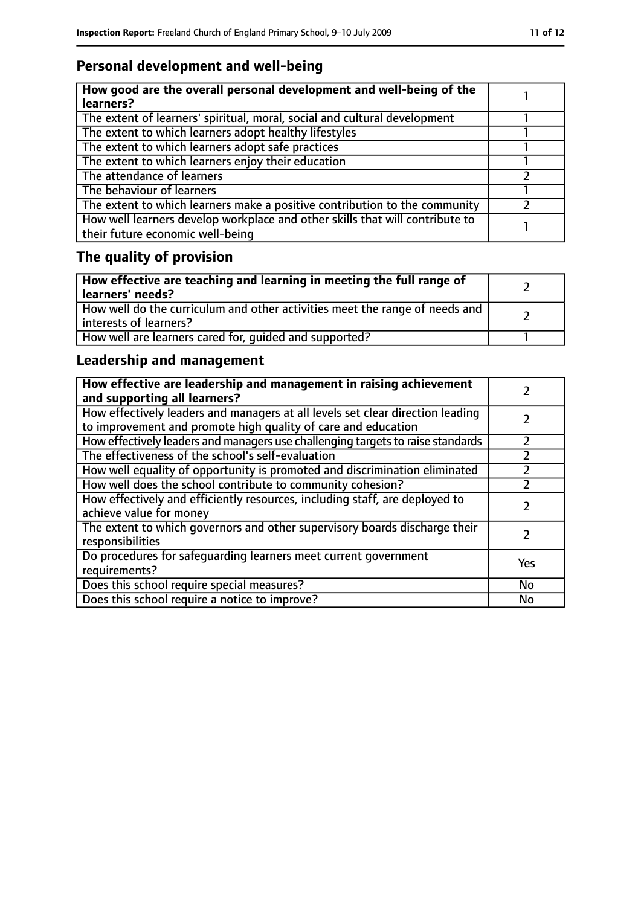# **Personal development and well-being**

| How good are the overall personal development and well-being of the<br>learners?                                 |  |
|------------------------------------------------------------------------------------------------------------------|--|
| The extent of learners' spiritual, moral, social and cultural development                                        |  |
| The extent to which learners adopt healthy lifestyles                                                            |  |
| The extent to which learners adopt safe practices                                                                |  |
| The extent to which learners enjoy their education                                                               |  |
| The attendance of learners                                                                                       |  |
| The behaviour of learners                                                                                        |  |
| The extent to which learners make a positive contribution to the community                                       |  |
| How well learners develop workplace and other skills that will contribute to<br>their future economic well-being |  |

# **The quality of provision**

| How effective are teaching and learning in meeting the full range of<br>learners' needs?              |  |
|-------------------------------------------------------------------------------------------------------|--|
| How well do the curriculum and other activities meet the range of needs and<br>interests of learners? |  |
| How well are learners cared for, quided and supported?                                                |  |

## **Leadership and management**

| How effective are leadership and management in raising achievement<br>and supporting all learners?                                              |     |
|-------------------------------------------------------------------------------------------------------------------------------------------------|-----|
| How effectively leaders and managers at all levels set clear direction leading<br>to improvement and promote high quality of care and education |     |
| How effectively leaders and managers use challenging targets to raise standards                                                                 |     |
| The effectiveness of the school's self-evaluation                                                                                               |     |
| How well equality of opportunity is promoted and discrimination eliminated                                                                      |     |
| How well does the school contribute to community cohesion?                                                                                      |     |
| How effectively and efficiently resources, including staff, are deployed to<br>achieve value for money                                          |     |
| The extent to which governors and other supervisory boards discharge their<br>responsibilities                                                  |     |
| Do procedures for safequarding learners meet current government<br>requirements?                                                                | Yes |
| Does this school require special measures?                                                                                                      | No  |
| Does this school require a notice to improve?                                                                                                   | No  |